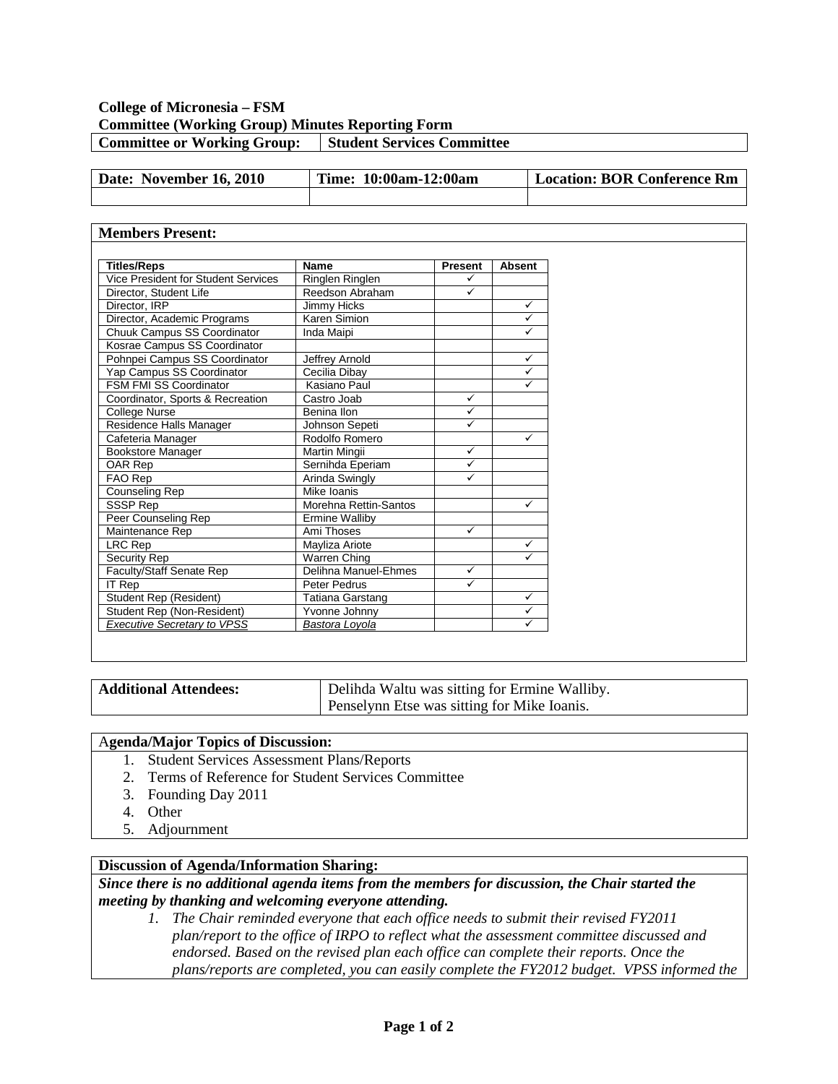## **College of Micronesia – FSM Committee (Working Group) Minutes Reporting Form Committee or Working Group:** Student Services Committee

| Date: November 16, 2010 | Time: 10:00am-12:00am | Location: BOR Conference Rm |
|-------------------------|-----------------------|-----------------------------|
|                         |                       |                             |

### **Members Present:**

| <b>Titles/Reps</b>                  | Name                  | <b>Present</b> | <b>Absent</b> |  |
|-------------------------------------|-----------------------|----------------|---------------|--|
| Vice President for Student Services | Ringlen Ringlen       | ✓              |               |  |
| Director, Student Life              | Reedson Abraham       | ✓              |               |  |
| Director, IRP                       | Jimmy Hicks           |                | ✓             |  |
| Director, Academic Programs         | Karen Simion          |                | $\checkmark$  |  |
| Chuuk Campus SS Coordinator         | Inda Maipi            |                | $\checkmark$  |  |
| Kosrae Campus SS Coordinator        |                       |                |               |  |
| Pohnpei Campus SS Coordinator       | Jeffrey Arnold        |                | $\checkmark$  |  |
| Yap Campus SS Coordinator           | Cecilia Dibay         |                | $\checkmark$  |  |
| <b>FSM FMI SS Coordinator</b>       | Kasiano Paul          |                | $\checkmark$  |  |
| Coordinator, Sports & Recreation    | Castro Joab           | $\checkmark$   |               |  |
| College Nurse                       | Benina Ilon           | ✓              |               |  |
| Residence Halls Manager             | Johnson Sepeti        | $\checkmark$   |               |  |
| Cafeteria Manager                   | Rodolfo Romero        |                | ✓             |  |
| Bookstore Manager                   | Martin Mingii         | $\checkmark$   |               |  |
| OAR Rep                             | Sernihda Eperiam      | ✓              |               |  |
| FAO Rep                             | Arinda Swingly        | ✓              |               |  |
| Counseling Rep                      | Mike Ioanis           |                |               |  |
| SSSP Rep                            | Morehna Rettin-Santos |                | ✓             |  |
| Peer Counseling Rep                 | Ermine Walliby        |                |               |  |
| Maintenance Rep                     | Ami Thoses            | $\checkmark$   |               |  |
| LRC Rep                             | Mayliza Ariote        |                | $\checkmark$  |  |
| Security Rep                        | Warren Ching          |                | $\checkmark$  |  |
| Faculty/Staff Senate Rep            | Delihna Manuel-Ehmes  | ✓              |               |  |
| <b>IT Rep</b>                       | Peter Pedrus          | ✓              |               |  |
| Student Rep (Resident)              | Tatiana Garstang      |                | ✓             |  |
| Student Rep (Non-Resident)          | Yvonne Johnny         |                | $\checkmark$  |  |
| <b>Executive Secretary to VPSS</b>  | Bastora Loyola        |                | ✓             |  |

| <b>Additional Attendees:</b> | Delihda Waltu was sitting for Ermine Walliby. |  |
|------------------------------|-----------------------------------------------|--|
|                              | Penselynn Etse was sitting for Mike Ioanis.   |  |

#### A**genda/Major Topics of Discussion:**

- 1. Student Services Assessment Plans/Reports
- 2. Terms of Reference for Student Services Committee
- 3. Founding Day 2011
- 4. Other
- 5. Adjournment

## **Discussion of Agenda/Information Sharing:**

*Since there is no additional agenda items from the members for discussion, the Chair started the meeting by thanking and welcoming everyone attending.*

*1. The Chair reminded everyone that each office needs to submit their revised FY2011 plan/report to the office of IRPO to reflect what the assessment committee discussed and endorsed. Based on the revised plan each office can complete their reports. Once the plans/reports are completed, you can easily complete the FY2012 budget. VPSS informed the*